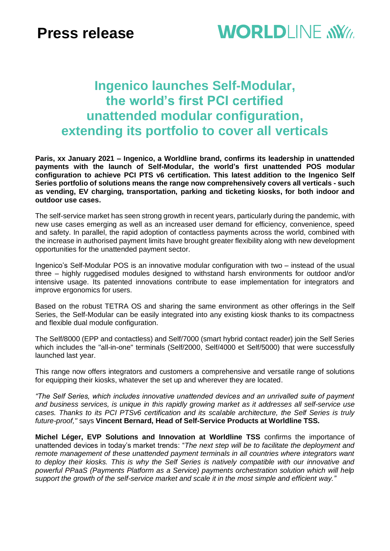## **Ingenico launches Self-Modular, the world's first PCI certified unattended modular configuration, extending its portfolio to cover all verticals**

**Paris, xx January 2021 – Ingenico, a Worldline brand, confirms its leadership in unattended payments with the launch of Self-Modular, the world's first unattended POS modular configuration to achieve PCI PTS v6 certification. This latest addition to the Ingenico Self Series portfolio of solutions means the range now comprehensively covers all verticals - such as vending, EV charging, transportation, parking and ticketing kiosks, for both indoor and outdoor use cases.**

The self-service market has seen strong growth in recent years, particularly during the pandemic, with new use cases emerging as well as an increased user demand for efficiency, convenience, speed and safety. In parallel, the rapid adoption of contactless payments across the world, combined with the increase in authorised payment limits have brought greater flexibility along with new development opportunities for the unattended payment sector.

Ingenico's Self-Modular POS is an innovative modular configuration with two – instead of the usual three – highly ruggedised modules designed to withstand harsh environments for outdoor and/or intensive usage. Its patented innovations contribute to ease implementation for integrators and improve ergonomics for users.

Based on the robust TETRA OS and sharing the same environment as other offerings in the Self Series, the Self-Modular can be easily integrated into any existing kiosk thanks to its compactness and flexible dual module configuration.

The Self/8000 (EPP and contactless) and Self/7000 (smart hybrid contact reader) join the Self Series which includes the "all-in-one" terminals (Self/2000, Self/4000 et Self/5000) that were successfully launched last year.

This range now offers integrators and customers a comprehensive and versatile range of solutions for equipping their kiosks, whatever the set up and wherever they are located.

*"The Self Series, which includes innovative unattended devices and an unrivalled suite of payment and business services, is unique in this rapidly growing market as it addresses all self-service use cases. Thanks to its PCI PTSv6 certification and its scalable architecture, the Self Series is truly future-proof,"* says **Vincent Bernard, Head of Self-Service Products at Worldline TSS.**

**Michel Léger, EVP Solutions and Innovation at Worldline TSS** confirms the importance of unattended devices in today's market trends: "*The next step will be to facilitate the deployment and remote management of these unattended payment terminals in all countries where integrators want to deploy their kiosks. This is why the Self Series is natively compatible with our innovative and powerful PPaaS (Payments Platform as a Service) payments orchestration solution which will help support the growth of the self-service market and scale it in the most simple and efficient way."*